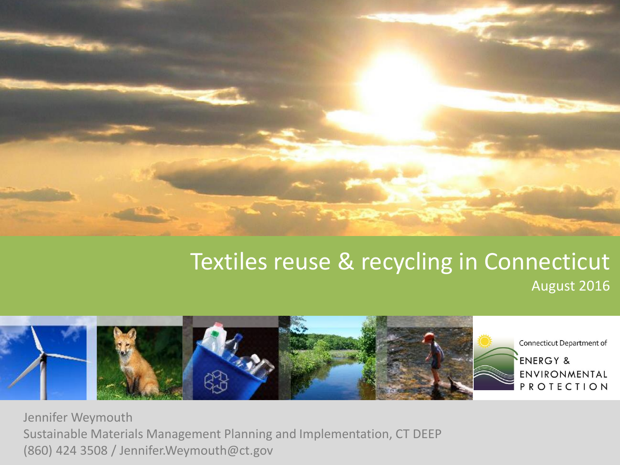

#### **Connecticut Textiles reuse & recycling in Connecticut** August 2016



Jennifer Weymouth Sustainable Materials Management Planning and Implementation, CT DEEP (860) 424 3508 / Jennifer.Weymouth@ct.gov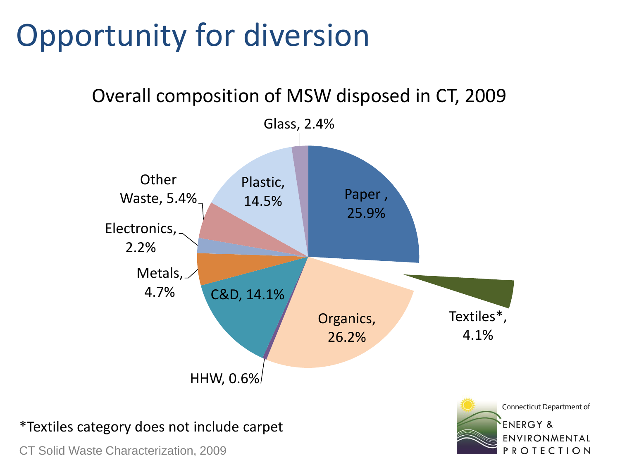#### Opportunity for diversion



Connecticut Department of

ENVIRONMENTAL PROTECTION

**ENERGY &** 

Overall composition of MSW disposed in CT, 2009

#### \*Textiles category does not include carpet

CT Solid Waste Characterization, 2009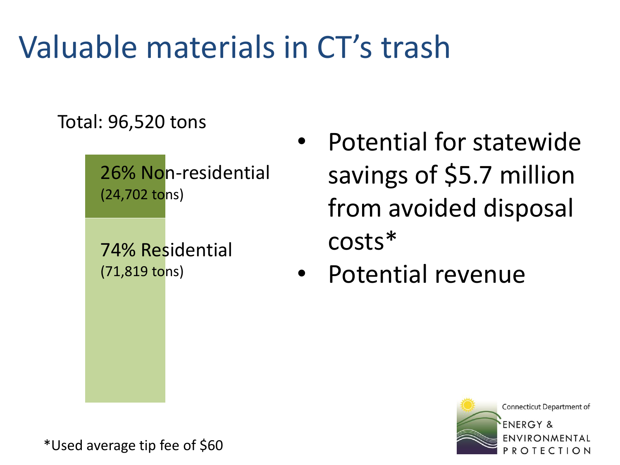#### Valuable materials in CT's trash

Total: 96,520 tons

26% Non-residential  $(24,702 \text{ to} \text{ns})$ 

74% Residential (71,819 tons)

- Potential for statewide savings of \$5.7 million from avoided disposal costs\*
- Potential revenue



\*Used average tip fee of \$60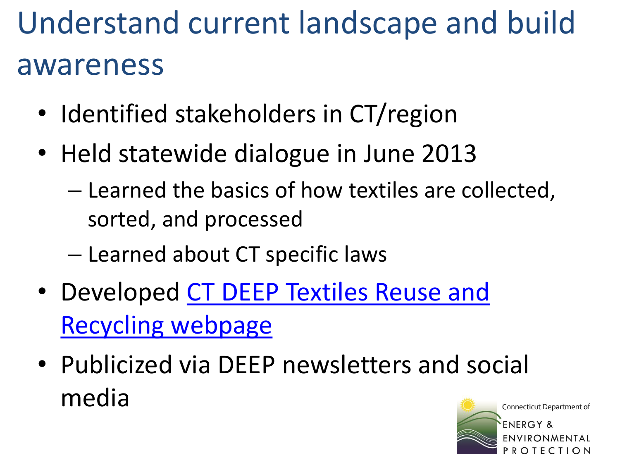# Understand current landscape and build awareness

- Identified stakeholders in CT/region
- Held statewide dialogue in June 2013
	- Learned the basics of how textiles are collected, sorted, and processed
	- Learned about CT specific laws
- [Developed CT DEEP Textiles Reuse and](http://www.ct.gov/deep/cwp/view.asp?a=2714&q=537718&deepNav_GID=1645) Recycling webpage
- Publicized via DEEP newsletters and social media

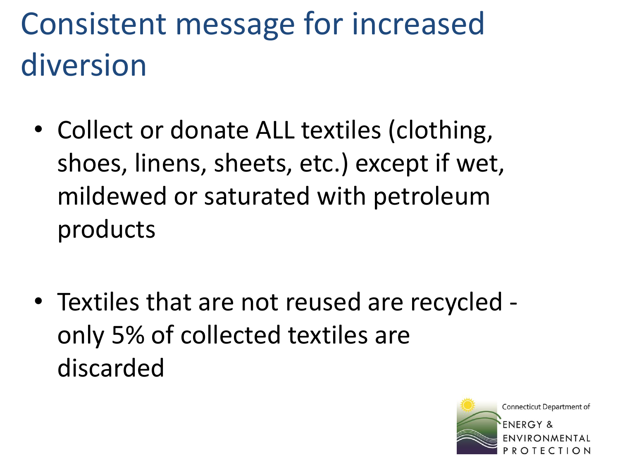# Consistent message for increased diversion

- Collect or donate ALL textiles (clothing, shoes, linens, sheets, etc.) except if wet, mildewed or saturated with petroleum products
- Textiles that are not reused are recycled only 5% of collected textiles are discarded

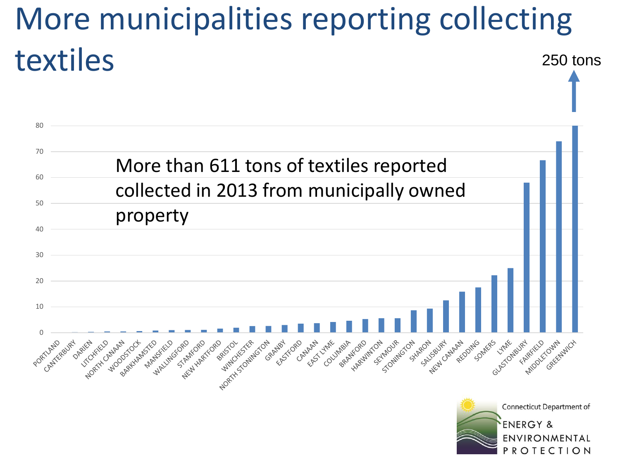#### More municipalities reporting collecting textiles 250 tons

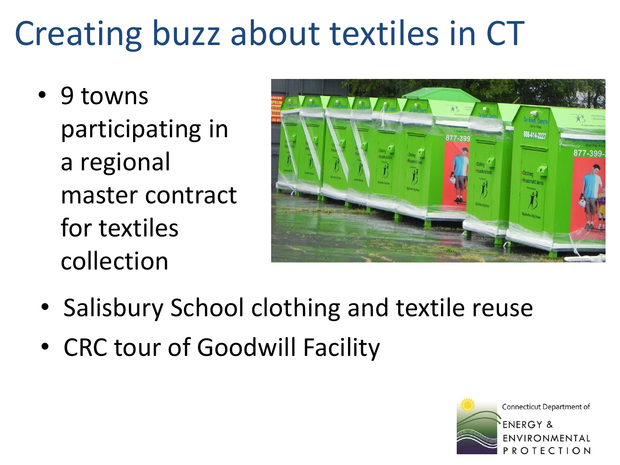# Creating buzz about textiles in CT

• 9 towns participating in a regional master contract for textiles collection



- Salisbury School clothing and textile reuse
- CRC tour of Goodwill Facility